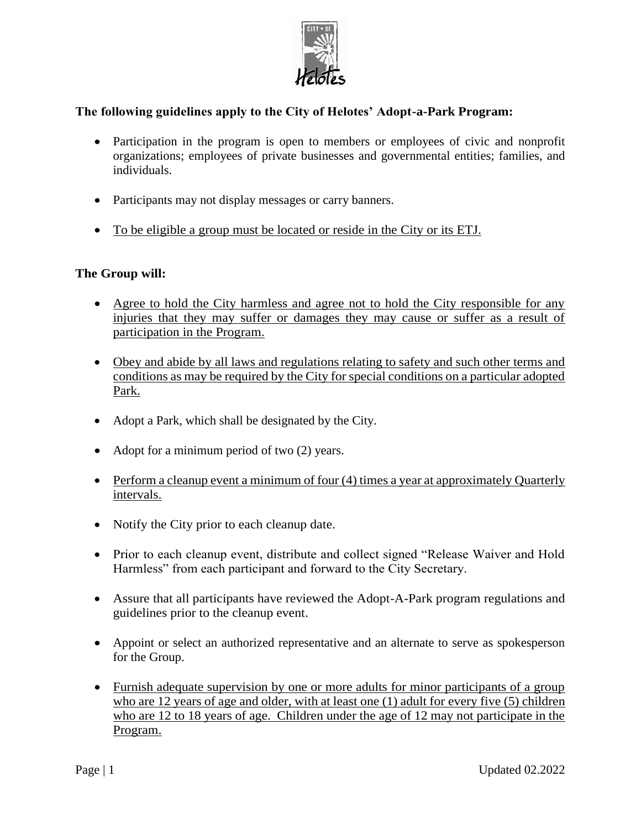

## **The following guidelines apply to the City of Helotes' Adopt-a-Park Program:**

- Participation in the program is open to members or employees of civic and nonprofit organizations; employees of private businesses and governmental entities; families, and individuals.
- Participants may not display messages or carry banners.
- To be eligible a group must be located or reside in the City or its ETJ.

#### **The Group will:**

- Agree to hold the City harmless and agree not to hold the City responsible for any injuries that they may suffer or damages they may cause or suffer as a result of participation in the Program.
- Obey and abide by all laws and regulations relating to safety and such other terms and conditions as may be required by the City for special conditions on a particular adopted Park.
- Adopt a Park, which shall be designated by the City.
- Adopt for a minimum period of two (2) years.
- Perform a cleanup event a minimum of four (4) times a year at approximately Quarterly intervals.
- Notify the City prior to each cleanup date.
- Prior to each cleanup event, distribute and collect signed "Release Waiver and Hold Harmless" from each participant and forward to the City Secretary.
- Assure that all participants have reviewed the Adopt-A-Park program regulations and guidelines prior to the cleanup event.
- Appoint or select an authorized representative and an alternate to serve as spokesperson for the Group.
- Furnish adequate supervision by one or more adults for minor participants of a group who are 12 years of age and older, with at least one (1) adult for every five (5) children who are 12 to 18 years of age. Children under the age of 12 may not participate in the Program.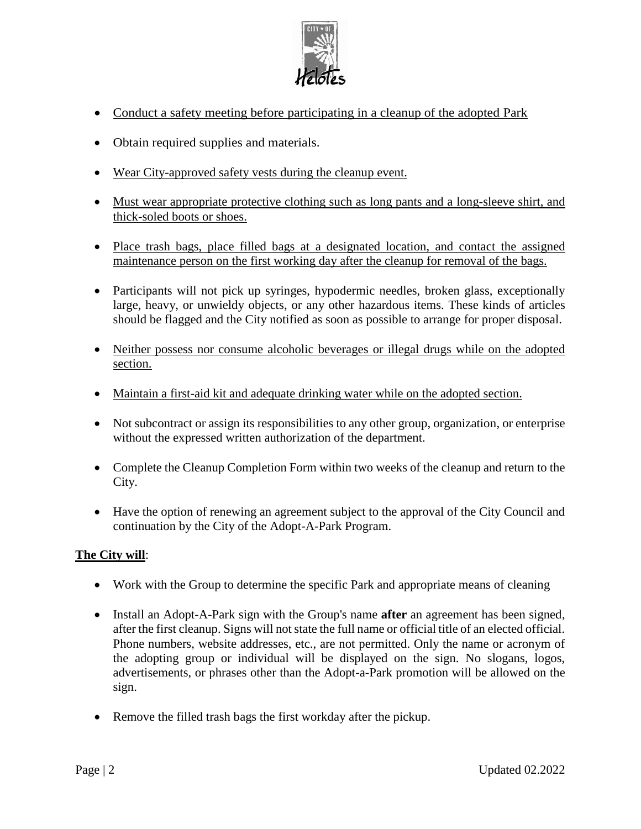

- Conduct a safety meeting before participating in a cleanup of the adopted Park
- Obtain required supplies and materials.
- Wear City-approved safety vests during the cleanup event.
- Must wear appropriate protective clothing such as long pants and a long-sleeve shirt, and thick-soled boots or shoes.
- Place trash bags, place filled bags at a designated location, and contact the assigned maintenance person on the first working day after the cleanup for removal of the bags.
- Participants will not pick up syringes, hypodermic needles, broken glass, exceptionally large, heavy, or unwieldy objects, or any other hazardous items. These kinds of articles should be flagged and the City notified as soon as possible to arrange for proper disposal.
- Neither possess nor consume alcoholic beverages or illegal drugs while on the adopted section.
- Maintain a first-aid kit and adequate drinking water while on the adopted section.
- Not subcontract or assign its responsibilities to any other group, organization, or enterprise without the expressed written authorization of the department.
- Complete the Cleanup Completion Form within two weeks of the cleanup and return to the City.
- Have the option of renewing an agreement subject to the approval of the City Council and continuation by the City of the Adopt-A-Park Program.

#### **The City will**:

- Work with the Group to determine the specific Park and appropriate means of cleaning
- Install an Adopt-A-Park sign with the Group's name **after** an agreement has been signed, after the first cleanup. Signs will not state the full name or official title of an elected official. Phone numbers, website addresses, etc., are not permitted. Only the name or acronym of the adopting group or individual will be displayed on the sign. No slogans, logos, advertisements, or phrases other than the Adopt-a-Park promotion will be allowed on the sign.
- Remove the filled trash bags the first workday after the pickup.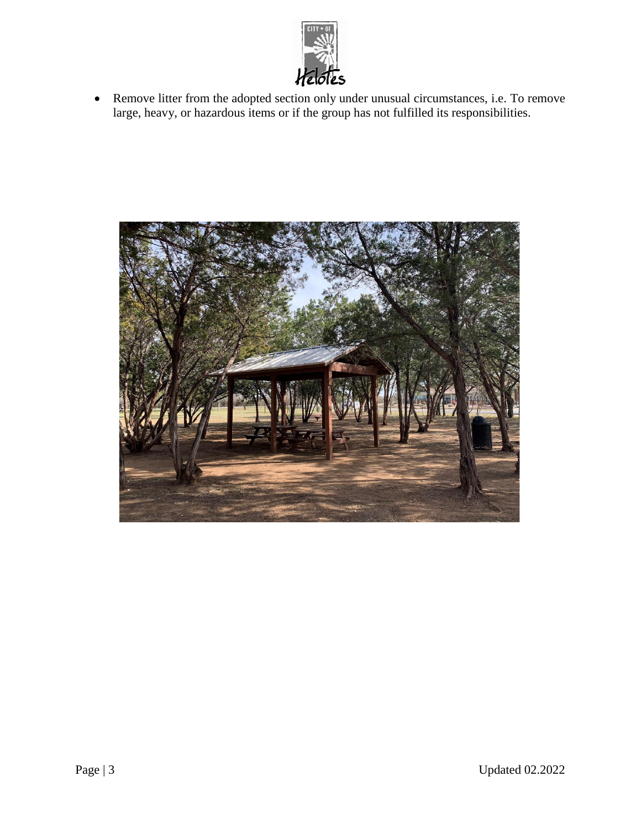

• Remove litter from the adopted section only under unusual circumstances, i.e. To remove large, heavy, or hazardous items or if the group has not fulfilled its responsibilities.

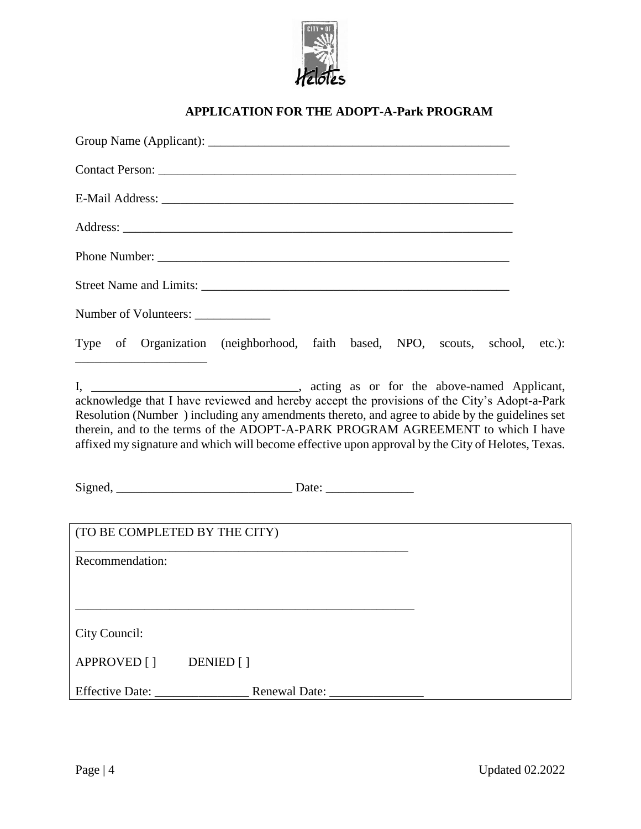

## **APPLICATION FOR THE ADOPT-A-Park PROGRAM**

| Street Name and Limits:                                                                                                                                                                                                                                                                                                                                                                |  |
|----------------------------------------------------------------------------------------------------------------------------------------------------------------------------------------------------------------------------------------------------------------------------------------------------------------------------------------------------------------------------------------|--|
| Number of Volunteers: ______________                                                                                                                                                                                                                                                                                                                                                   |  |
| Type of Organization (neighborhood, faith based, NPO, scouts, school, etc.):<br><u> 1989 - Johann Stoff, Amerikaansk politiker (</u>                                                                                                                                                                                                                                                   |  |
| acknowledge that I have reviewed and hereby accept the provisions of the City's Adopt-a-Park<br>Resolution (Number) including any amendments thereto, and agree to abide by the guidelines set<br>therein, and to the terms of the ADOPT-A-PARK PROGRAM AGREEMENT to which I have<br>affixed my signature and which will become effective upon approval by the City of Helotes, Texas. |  |
|                                                                                                                                                                                                                                                                                                                                                                                        |  |
| (TO BE COMPLETED BY THE CITY)                                                                                                                                                                                                                                                                                                                                                          |  |
| Recommendation:                                                                                                                                                                                                                                                                                                                                                                        |  |
| City Council:                                                                                                                                                                                                                                                                                                                                                                          |  |
| APPROVED [ ] DENIED [ ]                                                                                                                                                                                                                                                                                                                                                                |  |
|                                                                                                                                                                                                                                                                                                                                                                                        |  |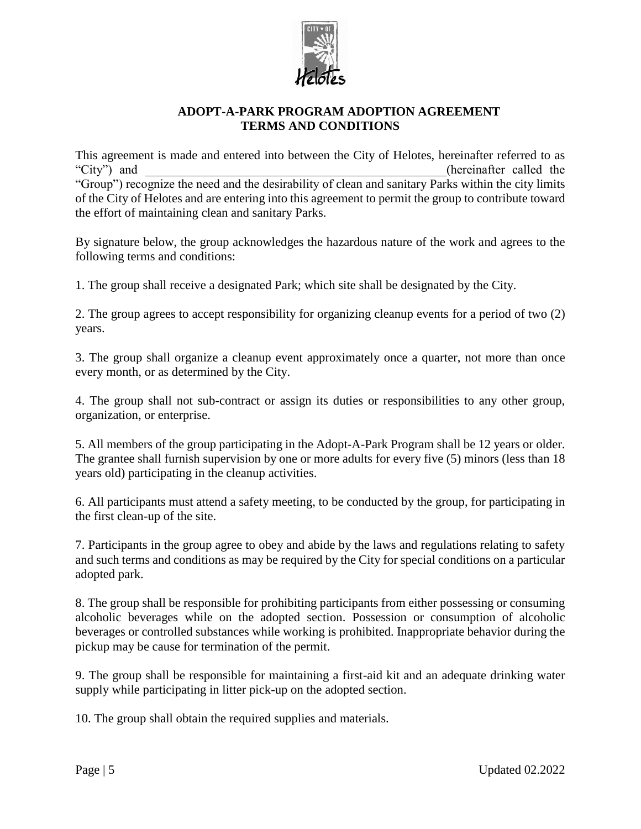

#### **ADOPT-A-PARK PROGRAM ADOPTION AGREEMENT TERMS AND CONDITIONS**

This agreement is made and entered into between the City of Helotes, hereinafter referred to as "City") and  $\blacksquare$ "Group") recognize the need and the desirability of clean and sanitary Parks within the city limits of the City of Helotes and are entering into this agreement to permit the group to contribute toward the effort of maintaining clean and sanitary Parks.

By signature below, the group acknowledges the hazardous nature of the work and agrees to the following terms and conditions:

1. The group shall receive a designated Park; which site shall be designated by the City.

2. The group agrees to accept responsibility for organizing cleanup events for a period of two (2) years.

3. The group shall organize a cleanup event approximately once a quarter, not more than once every month, or as determined by the City.

4. The group shall not sub-contract or assign its duties or responsibilities to any other group, organization, or enterprise.

5. All members of the group participating in the Adopt-A-Park Program shall be 12 years or older. The grantee shall furnish supervision by one or more adults for every five (5) minors (less than 18 years old) participating in the cleanup activities.

6. All participants must attend a safety meeting, to be conducted by the group, for participating in the first clean-up of the site.

7. Participants in the group agree to obey and abide by the laws and regulations relating to safety and such terms and conditions as may be required by the City for special conditions on a particular adopted park.

8. The group shall be responsible for prohibiting participants from either possessing or consuming alcoholic beverages while on the adopted section. Possession or consumption of alcoholic beverages or controlled substances while working is prohibited. Inappropriate behavior during the pickup may be cause for termination of the permit.

9. The group shall be responsible for maintaining a first-aid kit and an adequate drinking water supply while participating in litter pick-up on the adopted section.

10. The group shall obtain the required supplies and materials.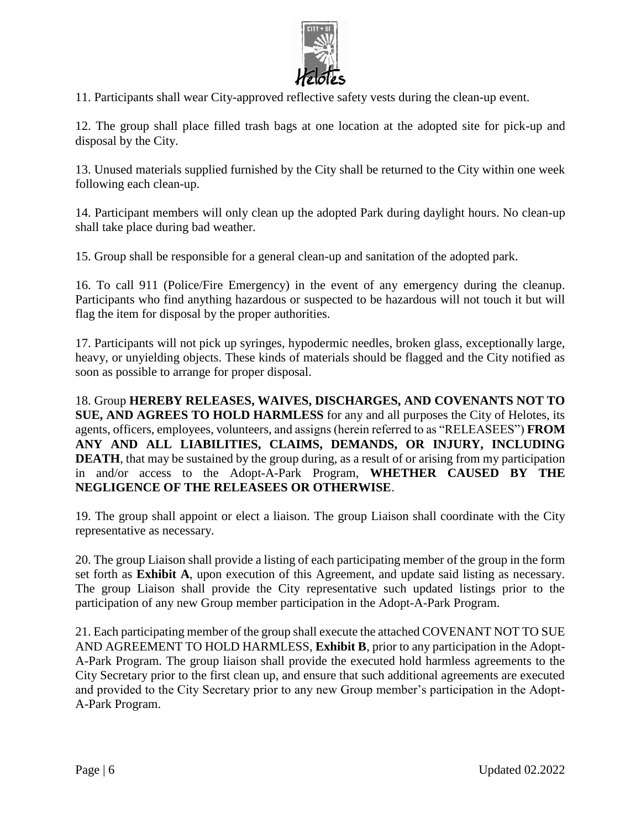

11. Participants shall wear City-approved reflective safety vests during the clean-up event.

12. The group shall place filled trash bags at one location at the adopted site for pick-up and disposal by the City.

13. Unused materials supplied furnished by the City shall be returned to the City within one week following each clean-up.

14. Participant members will only clean up the adopted Park during daylight hours. No clean-up shall take place during bad weather.

15. Group shall be responsible for a general clean-up and sanitation of the adopted park.

16. To call 911 (Police/Fire Emergency) in the event of any emergency during the cleanup. Participants who find anything hazardous or suspected to be hazardous will not touch it but will flag the item for disposal by the proper authorities.

17. Participants will not pick up syringes, hypodermic needles, broken glass, exceptionally large, heavy, or unyielding objects. These kinds of materials should be flagged and the City notified as soon as possible to arrange for proper disposal.

18. Group **HEREBY RELEASES, WAIVES, DISCHARGES, AND COVENANTS NOT TO SUE, AND AGREES TO HOLD HARMLESS** for any and all purposes the City of Helotes, its agents, officers, employees, volunteers, and assigns (herein referred to as "RELEASEES") **FROM ANY AND ALL LIABILITIES, CLAIMS, DEMANDS, OR INJURY, INCLUDING DEATH**, that may be sustained by the group during, as a result of or arising from my participation in and/or access to the Adopt-A-Park Program, **WHETHER CAUSED BY THE NEGLIGENCE OF THE RELEASEES OR OTHERWISE**.

19. The group shall appoint or elect a liaison. The group Liaison shall coordinate with the City representative as necessary.

20. The group Liaison shall provide a listing of each participating member of the group in the form set forth as **Exhibit A**, upon execution of this Agreement, and update said listing as necessary. The group Liaison shall provide the City representative such updated listings prior to the participation of any new Group member participation in the Adopt-A-Park Program.

21. Each participating member of the group shall execute the attached COVENANT NOT TO SUE AND AGREEMENT TO HOLD HARMLESS, **Exhibit B**, prior to any participation in the Adopt-A-Park Program. The group liaison shall provide the executed hold harmless agreements to the City Secretary prior to the first clean up, and ensure that such additional agreements are executed and provided to the City Secretary prior to any new Group member's participation in the Adopt-A-Park Program.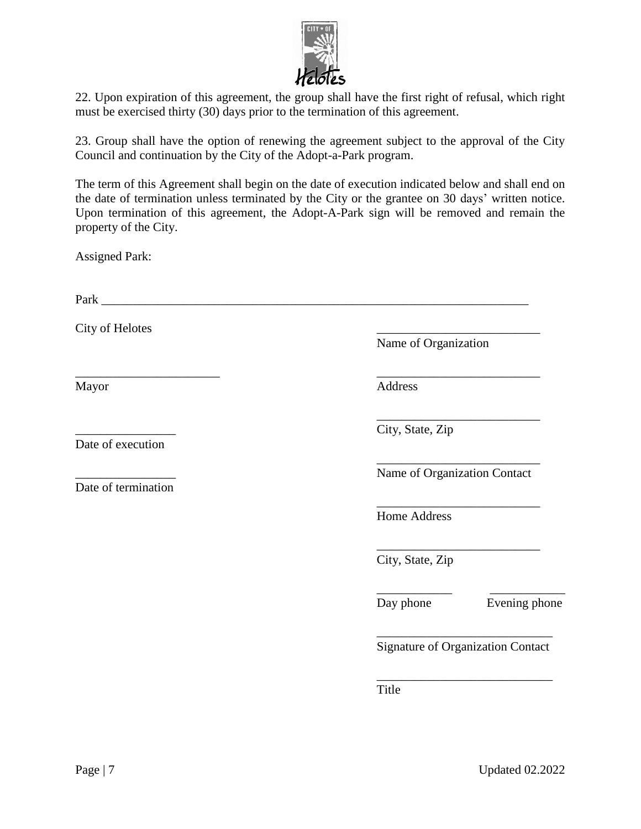

22. Upon expiration of this agreement, the group shall have the first right of refusal, which right must be exercised thirty (30) days prior to the termination of this agreement.

23. Group shall have the option of renewing the agreement subject to the approval of the City Council and continuation by the City of the Adopt-a-Park program.

The term of this Agreement shall begin on the date of execution indicated below and shall end on the date of termination unless terminated by the City or the grantee on 30 days' written notice. Upon termination of this agreement, the Adopt-A-Park sign will be removed and remain the property of the City.

Assigned Park:

Park \_\_\_\_\_\_\_\_\_\_\_\_\_\_\_\_\_\_\_\_\_\_\_\_\_\_\_\_\_\_\_\_\_\_\_\_\_\_\_\_\_\_\_\_\_\_\_\_\_\_\_\_\_\_\_\_\_\_\_\_\_\_\_\_\_\_\_\_

City of Helotes

Date of execution

Date of termination

Name of Organization

\_\_\_\_\_\_\_\_\_\_\_\_\_\_\_\_\_\_\_\_\_\_\_ \_\_\_\_\_\_\_\_\_\_\_\_\_\_\_\_\_\_\_\_\_\_\_\_\_\_ Mayor Address

City, State, Zip

\_\_\_\_\_\_\_\_\_\_\_\_\_\_\_\_\_\_\_\_\_\_\_\_\_\_ Name of Organization Contact

\_\_\_\_\_\_\_\_\_\_\_\_\_\_\_\_\_\_\_\_\_\_\_\_\_\_

\_\_\_\_\_\_\_\_\_\_\_\_\_\_\_\_\_\_\_\_\_\_\_\_\_\_

Home Address

\_\_\_\_\_\_\_\_\_\_\_\_\_\_\_\_\_\_\_\_\_\_\_\_\_\_ City, State, Zip

\_\_\_\_\_\_\_\_\_\_\_\_ \_\_\_\_\_\_\_\_\_\_\_\_ Day phone Evening phone

\_\_\_\_\_\_\_\_\_\_\_\_\_\_\_\_\_\_\_\_\_\_\_\_\_\_\_\_ Signature of Organization Contact

\_\_\_\_\_\_\_\_\_\_\_\_\_\_\_\_\_\_\_\_\_\_\_\_\_\_\_\_

Title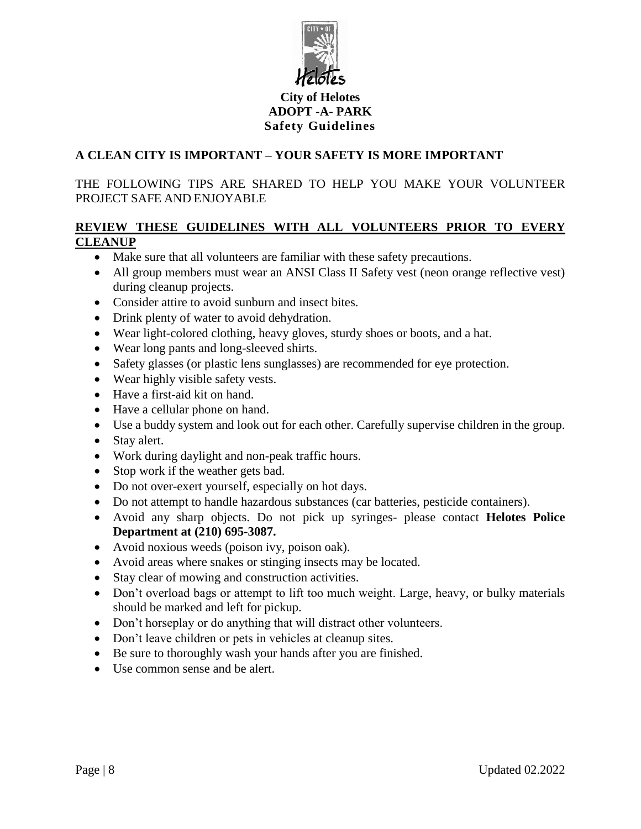

### **City of Helotes ADOPT -A- PARK Safety Guidelines**

## **A CLEAN CITY IS IMPORTANT – YOUR SAFETY IS MORE IMPORTANT**

THE FOLLOWING TIPS ARE SHARED TO HELP YOU MAKE YOUR VOLUNTEER PROJECT SAFE AND ENJOYABLE

### **REVIEW THESE GUIDELINES WITH ALL VOLUNTEERS PRIOR TO EVERY CLEANUP**

- Make sure that all volunteers are familiar with these safety precautions.
- All group members must wear an ANSI Class II Safety vest (neon orange reflective vest) during cleanup projects.
- Consider attire to avoid sunburn and insect bites.
- Drink plenty of water to avoid dehydration.
- Wear light-colored clothing, heavy gloves, sturdy shoes or boots, and a hat.
- Wear long pants and long-sleeved shirts.
- Safety glasses (or plastic lens sunglasses) are recommended for eye protection.
- Wear highly visible safety vests.
- Have a first-aid kit on hand.
- Have a cellular phone on hand.
- Use a buddy system and look out for each other. Carefully supervise children in the group.
- Stay alert.
- Work during daylight and non-peak traffic hours.
- Stop work if the weather gets bad.
- Do not over-exert yourself, especially on hot days.
- Do not attempt to handle hazardous substances (car batteries, pesticide containers).
- Avoid any sharp objects. Do not pick up syringes- please contact **Helotes Police Department at (210) 695-3087.**
- Avoid noxious weeds (poison ivy, poison oak).
- Avoid areas where snakes or stinging insects may be located.
- Stay clear of mowing and construction activities.
- Don't overload bags or attempt to lift too much weight. Large, heavy, or bulky materials should be marked and left for pickup.
- Don't horseplay or do anything that will distract other volunteers.
- Don't leave children or pets in vehicles at cleanup sites.
- Be sure to thoroughly wash your hands after you are finished.
- Use common sense and be alert.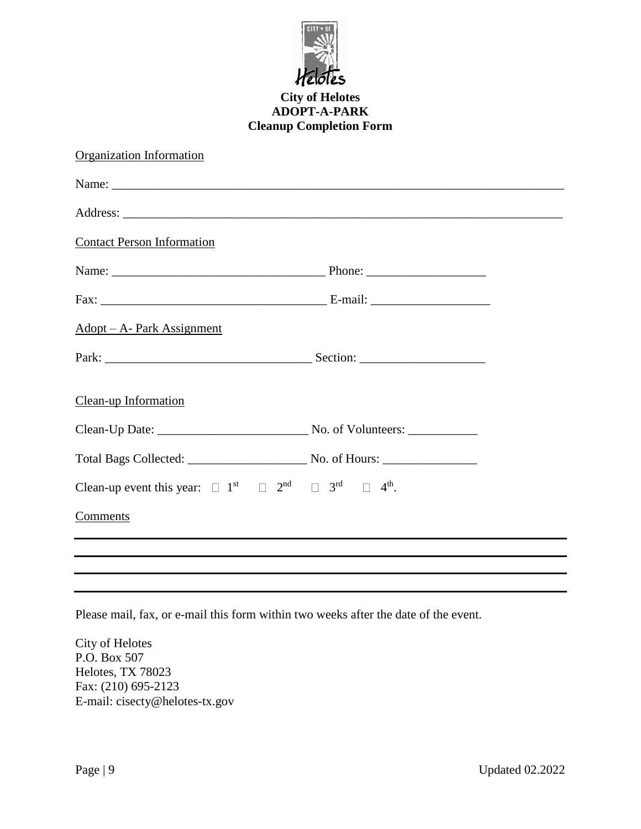

#### **City of Helotes ADOPT-A-PARK Cleanup Completion Form**

| Organization Information                                                                                                |  |
|-------------------------------------------------------------------------------------------------------------------------|--|
|                                                                                                                         |  |
|                                                                                                                         |  |
| <b>Contact Person Information</b>                                                                                       |  |
|                                                                                                                         |  |
|                                                                                                                         |  |
| Adopt – A- Park Assignment                                                                                              |  |
|                                                                                                                         |  |
| Clean-up Information                                                                                                    |  |
|                                                                                                                         |  |
|                                                                                                                         |  |
| Clean-up event this year: $\Box$ 1 <sup>st</sup> $\Box$ 2 <sup>nd</sup> $\Box$ 3 <sup>rd</sup> $\Box$ 4 <sup>th</sup> . |  |
| Comments                                                                                                                |  |
|                                                                                                                         |  |
|                                                                                                                         |  |

Please mail, fax, or e-mail this form within two weeks after the date of the event.

City of Helotes P.O. Box 507 Helotes, TX 78023 Fax: (210) 695-2123 E-mail: cisecty@helotes-tx.gov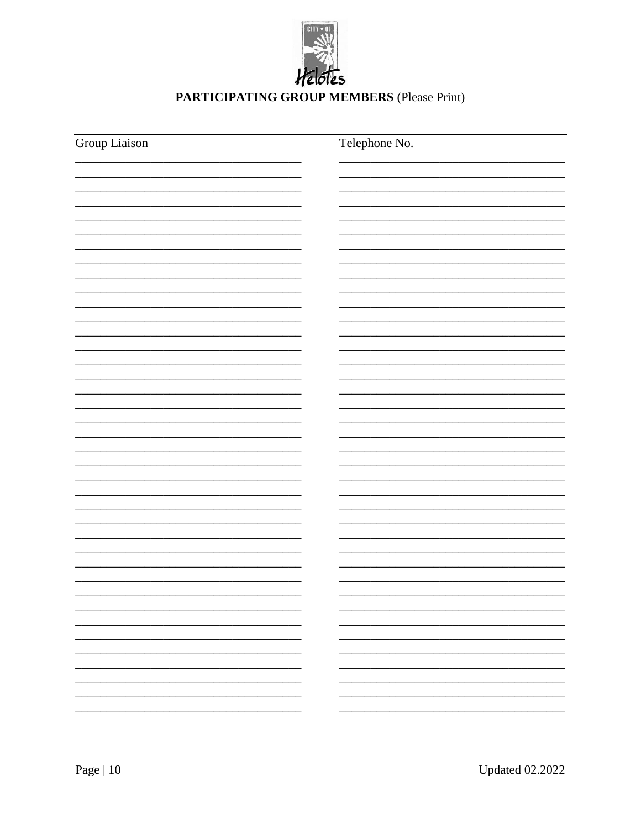

# PARTICIPATING GROUP MEMBERS (Please Print)

| Group Liaison | Telephone No. |  |
|---------------|---------------|--|
|               |               |  |
|               |               |  |
|               |               |  |
|               |               |  |
|               |               |  |
|               |               |  |
|               |               |  |
|               |               |  |
|               |               |  |
|               |               |  |
|               |               |  |
|               |               |  |
|               |               |  |
|               |               |  |
|               |               |  |
|               |               |  |
|               |               |  |
|               |               |  |
|               |               |  |
|               |               |  |
|               |               |  |
|               |               |  |
|               |               |  |
|               |               |  |
|               |               |  |
|               |               |  |
|               |               |  |
|               |               |  |
|               |               |  |
|               |               |  |
|               |               |  |
|               |               |  |
|               |               |  |
|               |               |  |
|               |               |  |
|               |               |  |
|               |               |  |
|               |               |  |
|               |               |  |
|               |               |  |
|               |               |  |
|               |               |  |
|               |               |  |
|               |               |  |
|               |               |  |
|               |               |  |
|               |               |  |
|               |               |  |
|               |               |  |
|               |               |  |
|               |               |  |
|               |               |  |
|               |               |  |
|               |               |  |
|               |               |  |
|               |               |  |
|               | Ξ.            |  |
|               |               |  |
|               |               |  |
|               |               |  |
|               | ÷.            |  |
|               |               |  |
|               |               |  |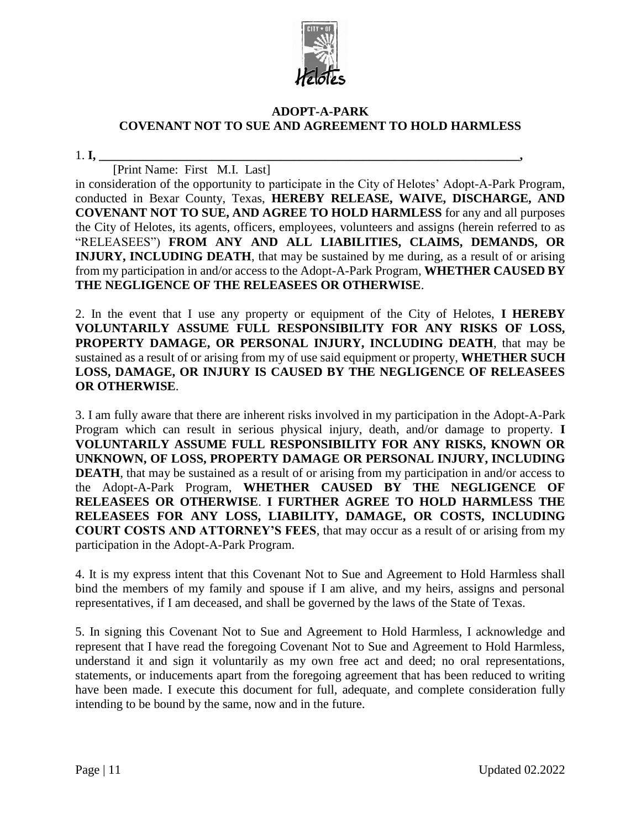

#### **ADOPT-A-PARK COVENANT NOT TO SUE AND AGREEMENT TO HOLD HARMLESS**

1. **I, \_\_\_\_\_\_\_\_\_\_\_\_\_\_\_\_\_\_\_\_\_\_\_\_\_\_\_\_\_\_\_\_\_\_\_\_\_\_\_\_\_\_\_\_\_\_\_\_\_\_\_\_\_\_\_\_\_\_\_\_\_\_\_\_\_\_\_,**

[Print Name: First M.I. Last]

in consideration of the opportunity to participate in the City of Helotes' Adopt-A-Park Program, conducted in Bexar County, Texas, **HEREBY RELEASE, WAIVE, DISCHARGE, AND COVENANT NOT TO SUE, AND AGREE TO HOLD HARMLESS** for any and all purposes the City of Helotes, its agents, officers, employees, volunteers and assigns (herein referred to as "RELEASEES") **FROM ANY AND ALL LIABILITIES, CLAIMS, DEMANDS, OR INJURY, INCLUDING DEATH**, that may be sustained by me during, as a result of or arising from my participation in and/or access to the Adopt-A-Park Program, **WHETHER CAUSED BY THE NEGLIGENCE OF THE RELEASEES OR OTHERWISE**.

2. In the event that I use any property or equipment of the City of Helotes, **I HEREBY VOLUNTARILY ASSUME FULL RESPONSIBILITY FOR ANY RISKS OF LOSS, PROPERTY DAMAGE, OR PERSONAL INJURY, INCLUDING DEATH**, that may be sustained as a result of or arising from my of use said equipment or property, **WHETHER SUCH LOSS, DAMAGE, OR INJURY IS CAUSED BY THE NEGLIGENCE OF RELEASEES OR OTHERWISE**.

3. I am fully aware that there are inherent risks involved in my participation in the Adopt-A-Park Program which can result in serious physical injury, death, and/or damage to property. **I VOLUNTARILY ASSUME FULL RESPONSIBILITY FOR ANY RISKS, KNOWN OR UNKNOWN, OF LOSS, PROPERTY DAMAGE OR PERSONAL INJURY, INCLUDING DEATH**, that may be sustained as a result of or arising from my participation in and/or access to the Adopt-A-Park Program, **WHETHER CAUSED BY THE NEGLIGENCE OF RELEASEES OR OTHERWISE**. **I FURTHER AGREE TO HOLD HARMLESS THE RELEASEES FOR ANY LOSS, LIABILITY, DAMAGE, OR COSTS, INCLUDING COURT COSTS AND ATTORNEY'S FEES**, that may occur as a result of or arising from my participation in the Adopt-A-Park Program.

4. It is my express intent that this Covenant Not to Sue and Agreement to Hold Harmless shall bind the members of my family and spouse if I am alive, and my heirs, assigns and personal representatives, if I am deceased, and shall be governed by the laws of the State of Texas.

5. In signing this Covenant Not to Sue and Agreement to Hold Harmless, I acknowledge and represent that I have read the foregoing Covenant Not to Sue and Agreement to Hold Harmless, understand it and sign it voluntarily as my own free act and deed; no oral representations, statements, or inducements apart from the foregoing agreement that has been reduced to writing have been made. I execute this document for full, adequate, and complete consideration fully intending to be bound by the same, now and in the future.